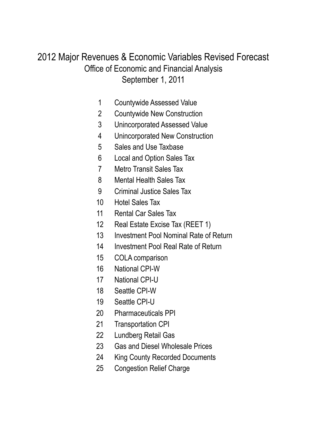### September 1, 2011 Office of Economic and Financial Analysis 2012 Major Revenues & Economic Variables Revised Forecast

- Countywide Assessed Value
- Countywide New Construction
- Unincorporated Assessed Value
- Unincorporated New Construction
- Sales and Use Taxbase
- Local and Option Sales Tax
- Metro Transit Sales Tax
- Mental Health Sales Tax
- Criminal Justice Sales Tax
- Hotel Sales Tax
- Rental Car Sales Tax
- Real Estate Excise Tax (REET 1)
- Investment Pool Nominal Rate of Return
- Investment Pool Real Rate of Return
- COLA comparison
- National CPI-W
- National CPI-U
- Seattle CPI-W
- Seattle CPI-U
- Pharmaceuticals PPI
- Transportation CPI
- Lundberg Retail Gas
- Gas and Diesel Wholesale Prices
- King County Recorded Documents
- Congestion Relief Charge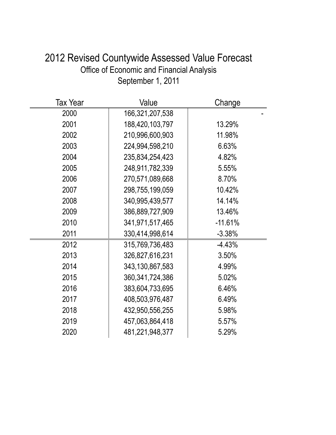| 2012 Revised Countywide Assessed Value Forecast  |
|--------------------------------------------------|
| <b>Office of Economic and Financial Analysis</b> |
| September 1, 2011                                |

| <b>Tax Year</b> | Value              | Change    |
|-----------------|--------------------|-----------|
| 2000            | 166,321,207,538    |           |
| 2001            | 188,420,103,797    | 13.29%    |
| 2002            | 210,996,600,903    | 11.98%    |
| 2003            | 224,994,598,210    | 6.63%     |
| 2004            | 235,834,254,423    | 4.82%     |
| 2005            | 248,911,782,339    | 5.55%     |
| 2006            | 270,571,089,668    | 8.70%     |
| 2007            | 298,755,199,059    | 10.42%    |
| 2008            | 340,995,439,577    | 14.14%    |
| 2009            | 386,889,727,909    | 13.46%    |
| 2010            | 341,971,517,465    | $-11.61%$ |
| 2011            | 330,414,998,614    | $-3.38%$  |
| 2012            | 315,769,736,483    | $-4.43%$  |
| 2013            | 326,827,616,231    | 3.50%     |
| 2014            | 343,130,867,583    | 4.99%     |
| 2015            | 360, 341, 724, 386 | 5.02%     |
| 2016            | 383,604,733,695    | 6.46%     |
| 2017            | 408,503,976,487    | 6.49%     |
| 2018            | 432,950,556,255    | 5.98%     |
| 2019            | 457,063,864,418    | 5.57%     |
| 2020            | 481,221,948,377    | 5.29%     |
|                 |                    |           |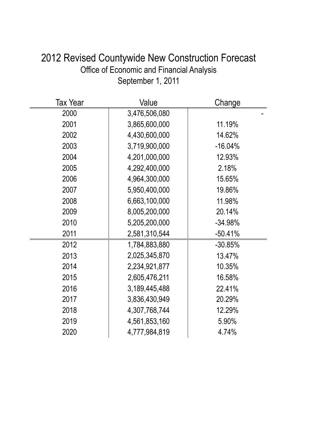| $\frac{1}{2}$ of Economic and Financial Analysis<br>September 1, 2011 |               |           |  |  |
|-----------------------------------------------------------------------|---------------|-----------|--|--|
| <b>Tax Year</b>                                                       | Value         | Change    |  |  |
| 2000                                                                  | 3,476,506,080 |           |  |  |
| 2001                                                                  | 3,865,600,000 | 11.19%    |  |  |
| 2002                                                                  | 4,430,600,000 | 14.62%    |  |  |
| 2003                                                                  | 3,719,900,000 | $-16.04%$ |  |  |
| 2004                                                                  | 4,201,000,000 | 12.93%    |  |  |
| 2005                                                                  | 4,292,400,000 | 2.18%     |  |  |
| 2006                                                                  | 4,964,300,000 | 15.65%    |  |  |
| 2007                                                                  | 5,950,400,000 | 19.86%    |  |  |
| 2008                                                                  | 6,663,100,000 | 11.98%    |  |  |
| 2009                                                                  | 8,005,200,000 | 20.14%    |  |  |
| 2010                                                                  | 5,205,200,000 | $-34.98%$ |  |  |
| 2011                                                                  | 2,581,310,544 | $-50.41%$ |  |  |
| 2012                                                                  | 1,784,883,880 | $-30.85%$ |  |  |
| 2013                                                                  | 2,025,345,870 | 13.47%    |  |  |
| 2014                                                                  | 2,234,921,877 | 10.35%    |  |  |
| 2015                                                                  | 2,605,476,211 | 16.58%    |  |  |
| 2016                                                                  | 3,189,445,488 | 22.41%    |  |  |
| 2017                                                                  | 3,836,430,949 | 20.29%    |  |  |
| 2018                                                                  | 4,307,768,744 | 12.29%    |  |  |

 4,561,853,160 5.90% 4,777,984,819 4.74%

# 2012 Revised Countywide New Construction Forecast Office of Economic and Financial Analysis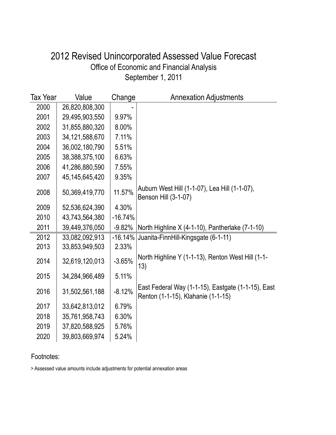### September 1, 2011 Office of Economic and Financial Analysis 2012 Revised Unincorporated Assessed Value Forecast

| Tax Year | Value             | Change    | <b>Annexation Adjustments</b>                                                            |
|----------|-------------------|-----------|------------------------------------------------------------------------------------------|
| 2000     | 26,820,808,300    |           |                                                                                          |
| 2001     | 29,495,903,550    | 9.97%     |                                                                                          |
| 2002     | 31,855,880,320    | 8.00%     |                                                                                          |
| 2003     | 34, 121, 588, 670 | 7.11%     |                                                                                          |
| 2004     | 36,002,180,790    | 5.51%     |                                                                                          |
| 2005     | 38,388,375,100    | 6.63%     |                                                                                          |
| 2006     | 41,286,880,590    | 7.55%     |                                                                                          |
| 2007     | 45, 145, 645, 420 | 9.35%     |                                                                                          |
| 2008     | 50,369,419,770    | 11.57%    | Auburn West Hill (1-1-07), Lea Hill (1-1-07),<br>Benson Hill (3-1-07)                    |
| 2009     | 52,536,624,390    | 4.30%     |                                                                                          |
| 2010     | 43,743,564,380    | $-16.74%$ |                                                                                          |
| 2011     | 39,449,376,050    | $-9.82%$  | North Highline X (4-1-10), Pantherlake (7-1-10)                                          |
| 2012     | 33,082,092,913    | $-16.14%$ | Juanita-FinnHill-Kingsgate (6-1-11)                                                      |
| 2013     | 33,853,949,503    | 2.33%     |                                                                                          |
| 2014     | 32,619,120,013    | $-3.65%$  | North Highline Y (1-1-13), Renton West Hill (1-1-<br>13)                                 |
| 2015     | 34,284,966,489    | 5.11%     |                                                                                          |
| 2016     | 31,502,561,188    | $-8.12%$  | East Federal Way (1-1-15), Eastgate (1-1-15), East<br>Renton (1-1-15), Klahanie (1-1-15) |
| 2017     | 33,642,813,012    | 6.79%     |                                                                                          |
| 2018     | 35,761,958,743    | 6.30%     |                                                                                          |
| 2019     | 37,820,588,925    | 5.76%     |                                                                                          |
| 2020     | 39,803,669,974    | 5.24%     |                                                                                          |

Footnotes:

> Assessed value amounts include adjustments for potential annexation areas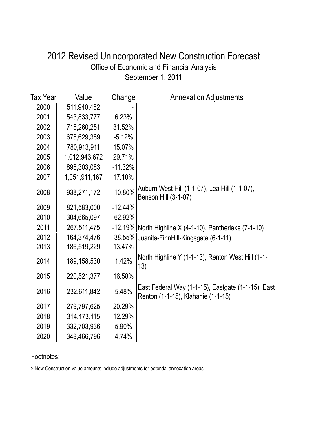### September 1, 2011 Office of Economic and Financial Analysis 2012 Revised Unincorporated New Construction Forecast

| <b>Tax Year</b> | Value         | Change    | <b>Annexation Adjustments</b>                                                            |
|-----------------|---------------|-----------|------------------------------------------------------------------------------------------|
| 2000            | 511,940,482   |           |                                                                                          |
| 2001            | 543,833,777   | 6.23%     |                                                                                          |
| 2002            | 715,260,251   | 31.52%    |                                                                                          |
| 2003            | 678,629,389   | $-5.12%$  |                                                                                          |
| 2004            | 780,913,911   | 15.07%    |                                                                                          |
| 2005            | 1,012,943,672 | 29.71%    |                                                                                          |
| 2006            | 898,303,083   | $-11.32%$ |                                                                                          |
| 2007            | 1,051,911,167 | 17.10%    |                                                                                          |
| 2008            | 938,271,172   | $-10.80%$ | Auburn West Hill (1-1-07), Lea Hill (1-1-07),<br>Benson Hill (3-1-07)                    |
| 2009            | 821,583,000   | $-12.44%$ |                                                                                          |
| 2010            | 304,665,097   | $-62.92%$ |                                                                                          |
| 2011            | 267,511,475   | $-12.19%$ | North Highline X (4-1-10), Pantherlake (7-1-10)                                          |
| 2012            | 164,374,476   | $-38.55%$ | Juanita-FinnHill-Kingsgate (6-1-11)                                                      |
| 2013            | 186,519,229   | 13.47%    |                                                                                          |
| 2014            | 189,158,530   | 1.42%     | North Highline Y (1-1-13), Renton West Hill (1-1-<br>13)                                 |
| 2015            | 220,521,377   | 16.58%    |                                                                                          |
| 2016            | 232,611,842   | 5.48%     | East Federal Way (1-1-15), Eastgate (1-1-15), East<br>Renton (1-1-15), Klahanie (1-1-15) |
| 2017            | 279,797,625   | 20.29%    |                                                                                          |
| 2018            | 314, 173, 115 | 12.29%    |                                                                                          |
| 2019            | 332,703,936   | 5.90%     |                                                                                          |
| 2020            | 348,466,796   | 4.74%     |                                                                                          |

#### Footnotes:

> New Construction value amounts include adjustments for potential annexation areas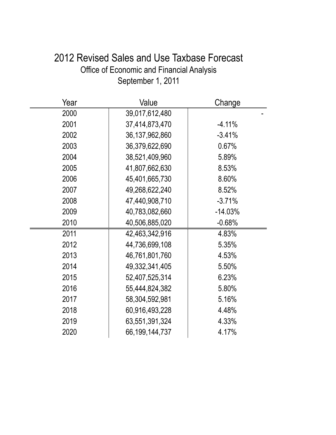# 2012 Revised Sales and Use Taxbase Forecast Office of Economic and Financial Analysis September 1, 2011

| Year | Value             | Change    |
|------|-------------------|-----------|
| 2000 | 39,017,612,480    |           |
| 2001 | 37,414,873,470    | $-4.11%$  |
| 2002 | 36, 137, 962, 860 | $-3.41%$  |
| 2003 | 36,379,622,690    | 0.67%     |
| 2004 | 38,521,409,960    | 5.89%     |
| 2005 | 41,807,662,630    | 8.53%     |
| 2006 | 45,401,665,730    | 8.60%     |
| 2007 | 49,268,622,240    | 8.52%     |
| 2008 | 47,440,908,710    | $-3.71%$  |
| 2009 | 40,783,082,660    | $-14.03%$ |
| 2010 | 40,506,885,020    | $-0.68%$  |
| 2011 | 42,463,342,916    | 4.83%     |
| 2012 | 44,736,699,108    | 5.35%     |
| 2013 | 46,761,801,760    | 4.53%     |
| 2014 | 49,332,341,405    | 5.50%     |
| 2015 | 52,407,525,314    | 6.23%     |
| 2016 | 55,444,824,382    | 5.80%     |
| 2017 | 58,304,592,981    | 5.16%     |
| 2018 | 60,916,493,228    | 4.48%     |
| 2019 | 63,551,391,324    | 4.33%     |
| 2020 | 66,199,144,737    | 4.17%     |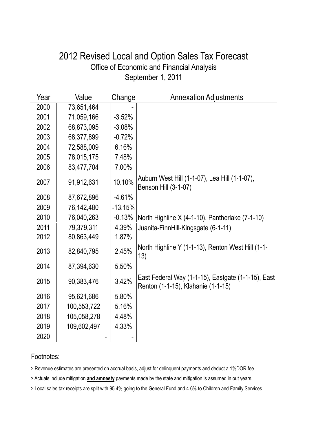### September 1, 2011 Office of Economic and Financial Analysis 2012 Revised Local and Option Sales Tax Forecast

| Year | Value       | Change    | <b>Annexation Adjustments</b>                                                            |
|------|-------------|-----------|------------------------------------------------------------------------------------------|
| 2000 | 73,651,464  |           |                                                                                          |
| 2001 | 71,059,166  | $-3.52%$  |                                                                                          |
| 2002 | 68,873,095  | $-3.08%$  |                                                                                          |
| 2003 | 68,377,899  | $-0.72%$  |                                                                                          |
| 2004 | 72,588,009  | 6.16%     |                                                                                          |
| 2005 | 78,015,175  | 7.48%     |                                                                                          |
| 2006 | 83,477,704  | 7.00%     |                                                                                          |
| 2007 | 91,912,631  | 10.10%    | Auburn West Hill (1-1-07), Lea Hill (1-1-07),<br>Benson Hill (3-1-07)                    |
| 2008 | 87,672,896  | $-4.61%$  |                                                                                          |
| 2009 | 76,142,480  | $-13.15%$ |                                                                                          |
| 2010 | 76,040,263  | $-0.13%$  | North Highline $X$ (4-1-10), Pantherlake (7-1-10)                                        |
| 2011 | 79,379,311  | 4.39%     | Juanita-FinnHill-Kingsgate (6-1-11)                                                      |
| 2012 | 80,863,449  | 1.87%     |                                                                                          |
| 2013 | 82,840,795  | 2.45%     | North Highline Y (1-1-13), Renton West Hill (1-1-<br>13)                                 |
| 2014 | 87,394,630  | 5.50%     |                                                                                          |
| 2015 | 90,383,476  | 3.42%     | East Federal Way (1-1-15), Eastgate (1-1-15), East<br>Renton (1-1-15), Klahanie (1-1-15) |
| 2016 | 95,621,686  | 5.80%     |                                                                                          |
| 2017 | 100,553,722 | 5.16%     |                                                                                          |
| 2018 | 105,058,278 | 4.48%     |                                                                                          |
| 2019 | 109,602,497 | 4.33%     |                                                                                          |
| 2020 |             |           |                                                                                          |

#### Footnotes:

> Revenue estimates are presented on accrual basis, adjust for delinquent payments and deduct a 1%DOR fee.

> Actuals include mitigation **and amnesty** payments made by the state and mitigation is assumed in out years.

> Local sales tax receipts are split with 95.4% going to the General Fund and 4.6% to Children and Family Services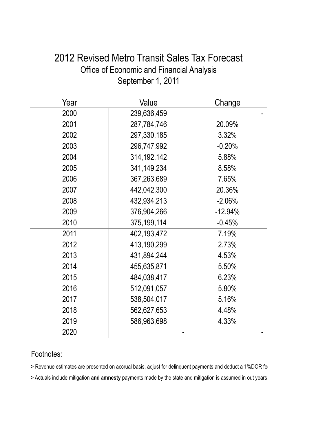### 2012 Revised Metro Transit Sales Tax Forecast Office of Economic and Financial Analysis September 1, 2011

| Year | Value         | Change    |
|------|---------------|-----------|
| 2000 | 239,636,459   |           |
| 2001 | 287,784,746   | 20.09%    |
| 2002 | 297,330,185   | 3.32%     |
| 2003 | 296,747,992   | $-0.20%$  |
| 2004 | 314, 192, 142 | 5.88%     |
| 2005 | 341,149,234   | 8.58%     |
| 2006 | 367,263,689   | 7.65%     |
| 2007 | 442,042,300   | 20.36%    |
| 2008 | 432,934,213   | $-2.06%$  |
| 2009 | 376,904,266   | $-12.94%$ |
| 2010 | 375, 199, 114 | $-0.45%$  |
| 2011 | 402,193,472   | 7.19%     |
| 2012 | 413,190,299   | 2.73%     |
| 2013 | 431,894,244   | 4.53%     |
| 2014 | 455,635,871   | 5.50%     |
| 2015 | 484,038,417   | 6.23%     |
| 2016 | 512,091,057   | 5.80%     |
| 2017 | 538,504,017   | 5.16%     |
| 2018 | 562,627,653   | 4.48%     |
| 2019 | 586,963,698   | 4.33%     |
| 2020 |               |           |

#### Footnotes:

> Revenue estimates are presented on accrual basis, adjust for delinquent payments and deduct a 1%DOR fere

> Actuals include mitigation **and amnesty** payments made by the state and mitigation is assumed in out years.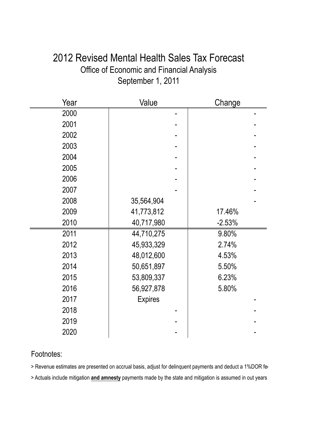### 2012 Revised Mental Health Sales Tax Forecast Office of Economic and Financial Analysis September 1, 2011

| Year | Value          | Change   |
|------|----------------|----------|
| 2000 |                |          |
| 2001 |                |          |
| 2002 |                |          |
| 2003 |                |          |
| 2004 |                |          |
| 2005 |                |          |
| 2006 |                |          |
| 2007 |                |          |
| 2008 | 35,564,904     |          |
| 2009 | 41,773,812     | 17.46%   |
| 2010 | 40,717,980     | $-2.53%$ |
| 2011 | 44,710,275     | 9.80%    |
| 2012 | 45,933,329     | 2.74%    |
| 2013 | 48,012,600     | 4.53%    |
| 2014 | 50,651,897     | 5.50%    |
| 2015 | 53,809,337     | 6.23%    |
| 2016 | 56,927,878     | 5.80%    |
| 2017 | <b>Expires</b> |          |
| 2018 |                |          |
| 2019 |                |          |
| 2020 |                |          |

#### Footnotes:

> Revenue estimates are presented on accrual basis, adjust for delinquent payments and deduct a 1%DOR fere

> Actuals include mitigation **and amnesty** payments made by the state and mitigation is assumed in out years.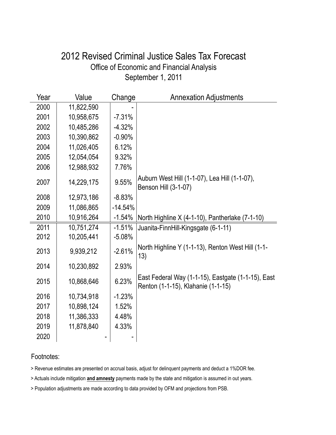### September 1, 2011 Office of Economic and Financial Analysis 2012 Revised Criminal Justice Sales Tax Forecast

| Year | Value      | Change    | <b>Annexation Adjustments</b>                                                            |
|------|------------|-----------|------------------------------------------------------------------------------------------|
| 2000 | 11,822,590 |           |                                                                                          |
| 2001 | 10,958,675 | $-7.31%$  |                                                                                          |
| 2002 | 10,485,286 | $-4.32%$  |                                                                                          |
| 2003 | 10,390,862 | $-0.90%$  |                                                                                          |
| 2004 | 11,026,405 | 6.12%     |                                                                                          |
| 2005 | 12,054,054 | 9.32%     |                                                                                          |
| 2006 | 12,988,932 | 7.76%     |                                                                                          |
| 2007 | 14,229,175 | 9.55%     | Auburn West Hill (1-1-07), Lea Hill (1-1-07),<br>Benson Hill (3-1-07)                    |
| 2008 | 12,973,186 | $-8.83%$  |                                                                                          |
| 2009 | 11,086,865 | $-14.54%$ |                                                                                          |
| 2010 | 10,916,264 | $-1.54%$  | North Highline X (4-1-10), Pantherlake (7-1-10)                                          |
| 2011 | 10,751,274 | $-1.51%$  | Juanita-FinnHill-Kingsgate (6-1-11)                                                      |
| 2012 | 10,205,441 | $-5.08%$  |                                                                                          |
| 2013 | 9,939,212  | $-2.61%$  | North Highline Y (1-1-13), Renton West Hill (1-1-<br>13)                                 |
| 2014 | 10,230,892 | 2.93%     |                                                                                          |
| 2015 | 10,868,646 | 6.23%     | East Federal Way (1-1-15), Eastgate (1-1-15), East<br>Renton (1-1-15), Klahanie (1-1-15) |
| 2016 | 10,734,918 | $-1.23%$  |                                                                                          |
| 2017 | 10,898,124 | 1.52%     |                                                                                          |
| 2018 | 11,386,333 | 4.48%     |                                                                                          |
| 2019 | 11,878,840 | 4.33%     |                                                                                          |
| 2020 |            |           |                                                                                          |

#### Footnotes:

> Revenue estimates are presented on accrual basis, adjust for delinquent payments and deduct a 1%DOR fee.

> Actuals include mitigation **and amnesty** payments made by the state and mitigation is assumed in out years.

> Population adjustments are made according to data provided by OFM and projections from PSB.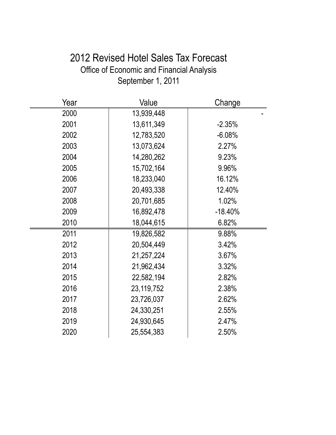# 2012 Revised Hotel Sales Tax Forecast Office of Economic and Financial Analysis September 1, 2011

| Year | Value      | Change     |
|------|------------|------------|
| 2000 | 13,939,448 |            |
| 2001 | 13,611,349 | $-2.35%$   |
| 2002 | 12,783,520 | $-6.08%$   |
| 2003 | 13,073,624 | 2.27%      |
| 2004 | 14,280,262 | 9.23%      |
| 2005 | 15,702,164 | 9.96%      |
| 2006 | 18,233,040 | 16.12%     |
| 2007 | 20,493,338 | 12.40%     |
| 2008 | 20,701,685 | 1.02%      |
| 2009 | 16,892,478 | $-18.40\%$ |
| 2010 | 18,044,615 | 6.82%      |
| 2011 | 19,826,582 | 9.88%      |
| 2012 | 20,504,449 | 3.42%      |
| 2013 | 21,257,224 | 3.67%      |
| 2014 | 21,962,434 | 3.32%      |
| 2015 | 22,582,194 | 2.82%      |
| 2016 | 23,119,752 | 2.38%      |
| 2017 | 23,726,037 | 2.62%      |
| 2018 | 24,330,251 | 2.55%      |
| 2019 | 24,930,645 | 2.47%      |
| 2020 | 25,554,383 | 2.50%      |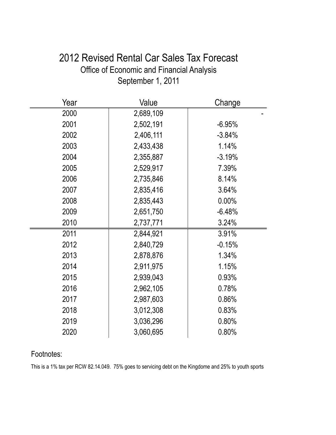### 2012 Revised Rental Car Sales Tax Forecast Office of Economic and Financial Analysis September 1, 2011

| Year | Value     | Change   |
|------|-----------|----------|
| 2000 | 2,689,109 |          |
| 2001 | 2,502,191 | $-6.95%$ |
| 2002 | 2,406,111 | $-3.84%$ |
| 2003 | 2,433,438 | 1.14%    |
| 2004 | 2,355,887 | $-3.19%$ |
| 2005 | 2,529,917 | 7.39%    |
| 2006 | 2,735,846 | 8.14%    |
| 2007 | 2,835,416 | 3.64%    |
| 2008 | 2,835,443 | 0.00%    |
| 2009 | 2,651,750 | $-6.48%$ |
| 2010 | 2,737,771 | 3.24%    |
| 2011 | 2,844,921 | 3.91%    |
| 2012 | 2,840,729 | $-0.15%$ |
| 2013 | 2,878,876 | 1.34%    |
| 2014 | 2,911,975 | 1.15%    |
| 2015 | 2,939,043 | 0.93%    |
| 2016 | 2,962,105 | 0.78%    |
| 2017 | 2,987,603 | 0.86%    |
| 2018 | 3,012,308 | 0.83%    |
| 2019 | 3,036,296 | 0.80%    |
| 2020 | 3,060,695 | 0.80%    |

#### Footnotes:

This is a 1% tax per RCW 82.14.049. 75% goes to servicing debt on the Kingdome and 25% to youth sports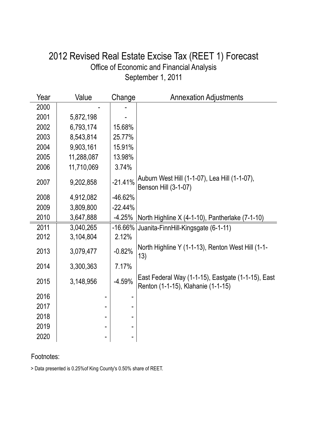### September 1, 2011 Office of Economic and Financial Analysis 2012 Revised Real Estate Excise Tax (REET 1) Forecast

| Year | Value      | Change     | <b>Annexation Adjustments</b>                                                            |
|------|------------|------------|------------------------------------------------------------------------------------------|
| 2000 |            |            |                                                                                          |
| 2001 | 5,872,198  |            |                                                                                          |
| 2002 | 6,793,174  | 15.68%     |                                                                                          |
| 2003 | 8,543,814  | 25.77%     |                                                                                          |
| 2004 | 9,903,161  | 15.91%     |                                                                                          |
| 2005 | 11,288,087 | 13.98%     |                                                                                          |
| 2006 | 11,710,069 | 3.74%      |                                                                                          |
| 2007 | 9,202,858  | $-21.41%$  | Auburn West Hill (1-1-07), Lea Hill (1-1-07),<br>Benson Hill (3-1-07)                    |
| 2008 | 4,912,082  | $-46.62%$  |                                                                                          |
| 2009 | 3,809,800  | $-22.44%$  |                                                                                          |
| 2010 | 3,647,888  | $-4.25%$   | North Highline X (4-1-10), Pantherlake (7-1-10)                                          |
| 2011 | 3,040,265  | $-16.66\%$ | Juanita-FinnHill-Kingsgate (6-1-11)                                                      |
| 2012 | 3,104,804  | 2.12%      |                                                                                          |
| 2013 | 3,079,477  | $-0.82%$   | North Highline Y (1-1-13), Renton West Hill (1-1-<br>13)                                 |
| 2014 | 3,300,363  | 7.17%      |                                                                                          |
| 2015 | 3,148,956  | $-4.59%$   | East Federal Way (1-1-15), Eastgate (1-1-15), East<br>Renton (1-1-15), Klahanie (1-1-15) |
| 2016 |            |            |                                                                                          |
| 2017 |            |            |                                                                                          |
| 2018 |            |            |                                                                                          |
| 2019 |            |            |                                                                                          |
| 2020 |            |            |                                                                                          |

#### Footnotes:

> Data presented is 0.25%of King County's 0.50% share of REET.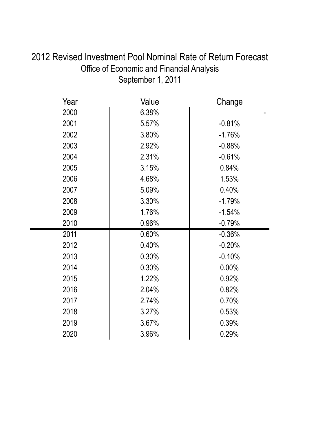| 2012 Revised Investment Pool Nominal Rate of Return Forecast |
|--------------------------------------------------------------|
| Office of Economic and Financial Analysis                    |
| September 1, 2011                                            |
|                                                              |

| Year | Value | Change   |
|------|-------|----------|
| 2000 | 6.38% |          |
| 2001 | 5.57% | $-0.81%$ |
| 2002 | 3.80% | $-1.76%$ |
| 2003 | 2.92% | $-0.88%$ |
| 2004 | 2.31% | $-0.61%$ |
| 2005 | 3.15% | 0.84%    |
| 2006 | 4.68% | 1.53%    |
| 2007 | 5.09% | 0.40%    |
| 2008 | 3.30% | $-1.79%$ |
| 2009 | 1.76% | $-1.54%$ |
| 2010 | 0.96% | $-0.79%$ |
| 2011 | 0.60% | $-0.36%$ |
| 2012 | 0.40% | $-0.20%$ |
| 2013 | 0.30% | $-0.10%$ |
| 2014 | 0.30% | 0.00%    |
| 2015 | 1.22% | 0.92%    |
| 2016 | 2.04% | 0.82%    |
| 2017 | 2.74% | 0.70%    |
| 2018 | 3.27% | 0.53%    |
| 2019 | 3.67% | 0.39%    |
| 2020 | 3.96% | 0.29%    |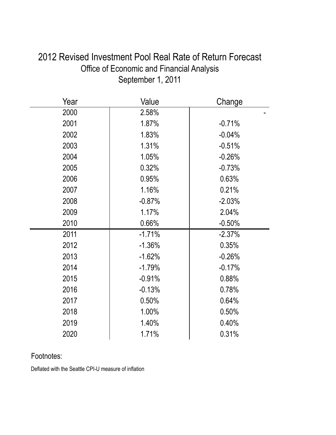| Year | Value    | Change   |
|------|----------|----------|
| 2000 | 2.58%    |          |
| 2001 | 1.87%    | $-0.71%$ |
| 2002 | 1.83%    | $-0.04%$ |
| 2003 | 1.31%    | $-0.51%$ |
| 2004 | 1.05%    | $-0.26%$ |
| 2005 | 0.32%    | $-0.73%$ |
| 2006 | 0.95%    | 0.63%    |
| 2007 | 1.16%    | 0.21%    |
| 2008 | $-0.87%$ | $-2.03%$ |
| 2009 | 1.17%    | 2.04%    |
| 2010 | 0.66%    | $-0.50%$ |
| 2011 | $-1.71%$ | $-2.37%$ |
| 2012 | $-1.36%$ | 0.35%    |
| 2013 | $-1.62%$ | $-0.26%$ |
| 2014 | $-1.79%$ | $-0.17%$ |
| 2015 | $-0.91%$ | 0.88%    |
| 2016 | $-0.13%$ | 0.78%    |
| 2017 | 0.50%    | 0.64%    |
| 2018 | 1.00%    | 0.50%    |
| 2019 | 1.40%    | 0.40%    |
| 2020 | 1.71%    | 0.31%    |

### 2012 Revised Investment Pool Real Rate of Return Forecast Office of Economic and Financial Analysis September 1, 2011

#### Footnotes:

Deflated with the Seattle CPI-U measure of inflation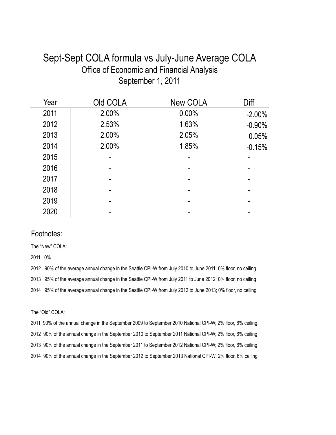### Sept-Sept COLA formula vs July-June Average COLA Office of Economic and Financial Analysis September 1, 2011

| Year | Old COLA | <b>New COLA</b> | Diff      |
|------|----------|-----------------|-----------|
| 2011 | 2.00%    | 0.00%           | $-2.00\%$ |
| 2012 | 2.53%    | 1.63%           | $-0.90%$  |
| 2013 | 2.00%    | 2.05%           | 0.05%     |
| 2014 | 2.00%    | 1.85%           | $-0.15%$  |
| 2015 |          |                 |           |
| 2016 |          |                 |           |
| 2017 |          |                 |           |
| 2018 |          |                 |           |
| 2019 |          |                 |           |
| 2020 |          |                 |           |

#### Footnotes:

The "New" COLA:

2011 0%

2012 90% of the average annual change in the Seattle CPI-W from July 2010 to June 2011; 0% floor, no ceiling 2013 95% of the average annual change in the Seattle CPI-W from July 2011 to June 2012; 0% floor, no ceiling 2014 95% of the average annual change in the Seattle CPI-W from July 2012 to June 2013; 0% floor, no ceiling

The "Old" COLA:

2011 90% of the annual change in the September 2009 to September 2010 National CPI-W; 2% floor, 6% ceiling 2012 90% of the annual change in the September 2010 to September 2011 National CPI-W; 2% floor, 6% ceiling 2013 90% of the annual change in the September 2011 to September 2012 National CPI-W; 2% floor, 6% ceiling 2014 90% of the annual change in the September 2012 to September 2013 National CPI-W; 2% floor, 6% ceiling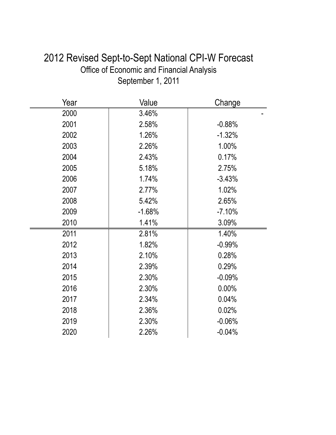# 2012 Revised Sept-to-Sept National CPI-W Forecast Office of Economic and Financial Analysis September 1, 2011

| Year | Value    | Change   |
|------|----------|----------|
| 2000 | 3.46%    |          |
| 2001 | 2.58%    | $-0.88%$ |
| 2002 | 1.26%    | $-1.32%$ |
| 2003 | 2.26%    | 1.00%    |
| 2004 | 2.43%    | 0.17%    |
| 2005 | 5.18%    | 2.75%    |
| 2006 | 1.74%    | $-3.43%$ |
| 2007 | 2.77%    | 1.02%    |
| 2008 | 5.42%    | 2.65%    |
| 2009 | $-1.68%$ | $-7.10%$ |
| 2010 | 1.41%    | 3.09%    |
| 2011 | 2.81%    | 1.40%    |
| 2012 | 1.82%    | $-0.99%$ |
| 2013 | 2.10%    | 0.28%    |
| 2014 | 2.39%    | 0.29%    |
| 2015 | 2.30%    | $-0.09%$ |
| 2016 | 2.30%    | 0.00%    |
| 2017 | 2.34%    | 0.04%    |
| 2018 | 2.36%    | 0.02%    |
| 2019 | 2.30%    | $-0.06%$ |
| 2020 | 2.26%    | $-0.04%$ |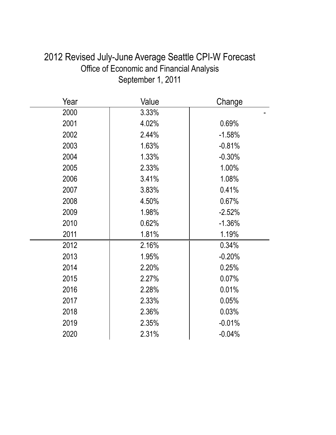| 2012 Revised July-June Average Seattle CPI-W Forecast |
|-------------------------------------------------------|
| Office of Economic and Financial Analysis             |
| September 1, 2011                                     |
|                                                       |

| Year | Value | Change   |
|------|-------|----------|
| 2000 | 3.33% |          |
| 2001 | 4.02% | 0.69%    |
| 2002 | 2.44% | $-1.58%$ |
| 2003 | 1.63% | $-0.81%$ |
| 2004 | 1.33% | $-0.30%$ |
| 2005 | 2.33% | 1.00%    |
| 2006 | 3.41% | 1.08%    |
| 2007 | 3.83% | 0.41%    |
| 2008 | 4.50% | 0.67%    |
| 2009 | 1.98% | $-2.52%$ |
| 2010 | 0.62% | $-1.36%$ |
| 2011 | 1.81% | 1.19%    |
| 2012 | 2.16% | 0.34%    |
| 2013 | 1.95% | $-0.20%$ |
| 2014 | 2.20% | 0.25%    |
| 2015 | 2.27% | 0.07%    |
| 2016 | 2.28% | 0.01%    |
| 2017 | 2.33% | 0.05%    |
| 2018 | 2.36% | 0.03%    |
| 2019 | 2.35% | $-0.01%$ |
| 2020 | 2.31% | $-0.04%$ |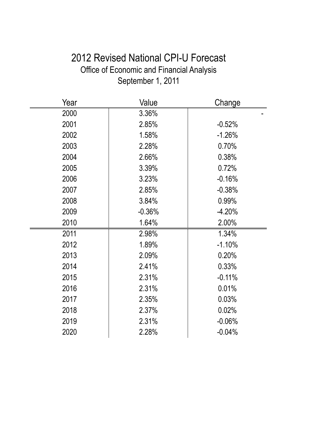# 2012 Revised National CPI-U Forecast Office of Economic and Financial Analysis September 1, 2011

| Year | Value    | Change   |
|------|----------|----------|
| 2000 | 3.36%    |          |
| 2001 | 2.85%    | $-0.52%$ |
| 2002 | 1.58%    | $-1.26%$ |
| 2003 | 2.28%    | 0.70%    |
| 2004 | 2.66%    | 0.38%    |
| 2005 | 3.39%    | 0.72%    |
| 2006 | 3.23%    | $-0.16%$ |
| 2007 | 2.85%    | $-0.38%$ |
| 2008 | 3.84%    | 0.99%    |
| 2009 | $-0.36%$ | $-4.20%$ |
| 2010 | 1.64%    | 2.00%    |
| 2011 | 2.98%    | 1.34%    |
| 2012 | 1.89%    | $-1.10%$ |
| 2013 | 2.09%    | 0.20%    |
| 2014 | 2.41%    | 0.33%    |
| 2015 | 2.31%    | $-0.11%$ |
| 2016 | 2.31%    | 0.01%    |
| 2017 | 2.35%    | 0.03%    |
| 2018 | 2.37%    | 0.02%    |
| 2019 | 2.31%    | $-0.06%$ |
| 2020 | 2.28%    | $-0.04%$ |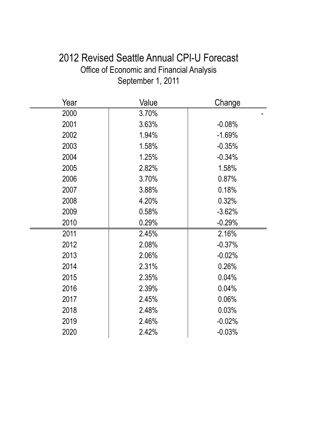# 2012 Revised Seattle Annual CPI-U Forecast Office of Economic and Financial Analysis September 1, 2011

| Year | Value | Change   |
|------|-------|----------|
| 2000 | 3.70% |          |
| 2001 | 3.63% | $-0.08%$ |
| 2002 | 1.94% | $-1.69%$ |
| 2003 | 1.58% | $-0.35%$ |
| 2004 | 1.25% | $-0.34%$ |
| 2005 | 2.82% | 1.58%    |
| 2006 | 3.70% | 0.87%    |
| 2007 | 3.88% | 0.18%    |
| 2008 | 4.20% | 0.32%    |
| 2009 | 0.58% | $-3.62%$ |
| 2010 | 0.29% | $-0.29%$ |
| 2011 | 2.45% | 2.16%    |
| 2012 | 2.08% | $-0.37%$ |
| 2013 | 2.06% | $-0.02%$ |
| 2014 | 2.31% | 0.26%    |
| 2015 | 2.35% | 0.04%    |
| 2016 | 2.39% | 0.04%    |
| 2017 | 2.45% | 0.06%    |
| 2018 | 2.48% | 0.03%    |
| 2019 | 2.46% | $-0.02%$ |
| 2020 | 2.42% | $-0.03%$ |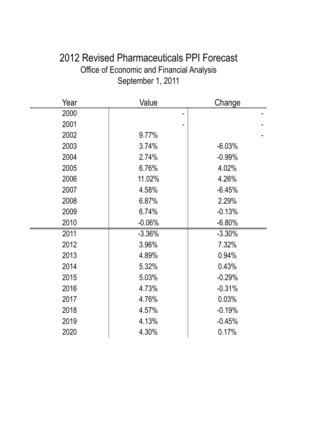# 2012 Revised Pharmaceuticals PPI Forecast Office of Economic and Financial Analysis September 1, 2011

| Year | Value    | Change   |
|------|----------|----------|
| 2000 |          |          |
| 2001 |          |          |
| 2002 | 9.77%    |          |
| 2003 | 3.74%    | $-6.03%$ |
| 2004 | 2.74%    | $-0.99%$ |
| 2005 | 6.76%    | 4.02%    |
| 2006 | 11.02%   | 4.26%    |
| 2007 | 4.58%    | $-6.45%$ |
| 2008 | 6.87%    | 2.29%    |
| 2009 | 6.74%    | $-0.13%$ |
| 2010 | $-0.06%$ | $-6.80%$ |
| 2011 | $-3.36%$ | $-3.30%$ |
| 2012 | 3.96%    | 7.32%    |
| 2013 | 4.89%    | 0.94%    |
| 2014 | 5.32%    | 0.43%    |
| 2015 | 5.03%    | $-0.29%$ |
| 2016 | 4.73%    | $-0.31%$ |
| 2017 | 4.76%    | 0.03%    |
| 2018 | 4.57%    | $-0.19%$ |
| 2019 | 4.13%    | $-0.45%$ |
| 2020 | 4.30%    | 0.17%    |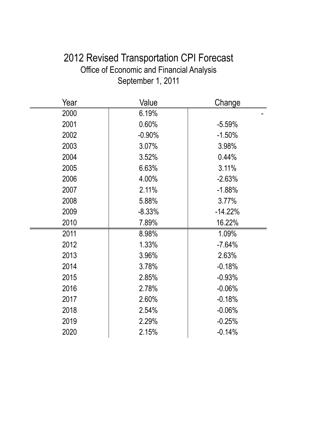# 2012 Revised Transportation CPI Forecast Office of Economic and Financial Analysis September 1, 2011

| Year | Value    | Change    |
|------|----------|-----------|
| 2000 | 6.19%    |           |
| 2001 | 0.60%    | $-5.59%$  |
| 2002 | $-0.90%$ | $-1.50%$  |
| 2003 | 3.07%    | 3.98%     |
| 2004 | 3.52%    | 0.44%     |
| 2005 | 6.63%    | 3.11%     |
| 2006 | 4.00%    | $-2.63%$  |
| 2007 | 2.11%    | $-1.88%$  |
| 2008 | 5.88%    | 3.77%     |
| 2009 | $-8.33%$ | $-14.22%$ |
| 2010 | 7.89%    | 16.22%    |
| 2011 | 8.98%    | 1.09%     |
| 2012 | 1.33%    | $-7.64%$  |
| 2013 | 3.96%    | 2.63%     |
| 2014 | 3.78%    | $-0.18%$  |
| 2015 | 2.85%    | $-0.93%$  |
| 2016 | 2.78%    | $-0.06%$  |
| 2017 | 2.60%    | $-0.18%$  |
| 2018 | 2.54%    | $-0.06%$  |
| 2019 | 2.29%    | $-0.25%$  |
| 2020 | 2.15%    | $-0.14%$  |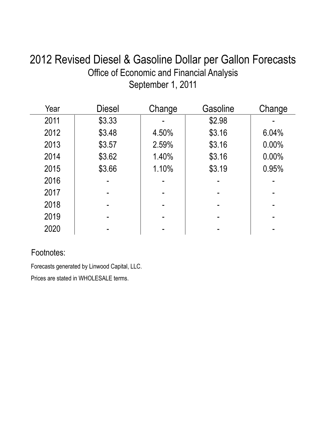# 2012 Revised Diesel & Gasoline Dollar per Gallon Forecasts Office of Economic and Financial Analysis September 1, 2011

| Year | <b>Diesel</b> | Change | Gasoline | Change |
|------|---------------|--------|----------|--------|
| 2011 | \$3.33        |        | \$2.98   |        |
| 2012 | \$3.48        | 4.50%  | \$3.16   | 6.04%  |
| 2013 | \$3.57        | 2.59%  | \$3.16   | 0.00%  |
| 2014 | \$3.62        | 1.40%  | \$3.16   | 0.00%  |
| 2015 | \$3.66        | 1.10%  | \$3.19   | 0.95%  |
| 2016 |               |        |          |        |
| 2017 |               |        |          |        |
| 2018 |               |        |          |        |
| 2019 |               |        |          |        |
| 2020 |               |        |          |        |

### Footnotes:

Forecasts generated by Linwood Capital, LLC.

Prices are stated in WHOLESALE terms.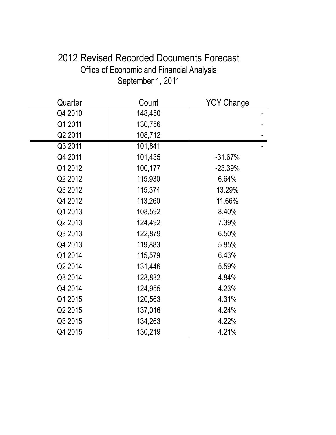# 2012 Revised Recorded Documents Forecast Office of Economic and Financial Analysis September 1, 2011

| Quarter | Count   | <b>YOY Change</b> |
|---------|---------|-------------------|
| Q4 2010 | 148,450 |                   |
| Q1 2011 | 130,756 |                   |
| Q2 2011 | 108,712 |                   |
| Q3 2011 | 101,841 |                   |
| Q4 2011 | 101,435 | $-31.67%$         |
| Q1 2012 | 100,177 | $-23.39%$         |
| Q2 2012 | 115,930 | 6.64%             |
| Q3 2012 | 115,374 | 13.29%            |
| Q4 2012 | 113,260 | 11.66%            |
| Q1 2013 | 108,592 | 8.40%             |
| Q2 2013 | 124,492 | 7.39%             |
| Q3 2013 | 122,879 | 6.50%             |
| Q4 2013 | 119,883 | 5.85%             |
| Q1 2014 | 115,579 | 6.43%             |
| Q2 2014 | 131,446 | 5.59%             |
| Q3 2014 | 128,832 | 4.84%             |
| Q4 2014 | 124,955 | 4.23%             |
| Q1 2015 | 120,563 | 4.31%             |
| Q2 2015 | 137,016 | 4.24%             |
| Q3 2015 | 134,263 | 4.22%             |
| Q4 2015 | 130,219 | 4.21%             |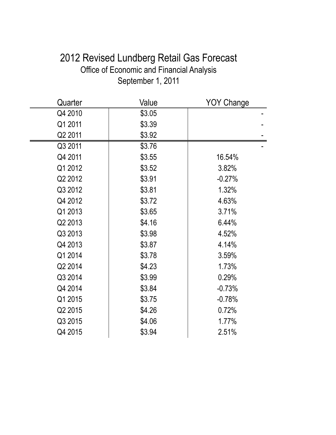# 2012 Revised Lundberg Retail Gas Forecast Office of Economic and Financial Analysis September 1, 2011

| Quarter | Value  | <b>YOY Change</b> |
|---------|--------|-------------------|
| Q4 2010 | \$3.05 |                   |
| Q1 2011 | \$3.39 |                   |
| Q2 2011 | \$3.92 |                   |
| Q3 2011 | \$3.76 |                   |
| Q4 2011 | \$3.55 | 16.54%            |
| Q1 2012 | \$3.52 | 3.82%             |
| Q2 2012 | \$3.91 | $-0.27%$          |
| Q3 2012 | \$3.81 | 1.32%             |
| Q4 2012 | \$3.72 | 4.63%             |
| Q1 2013 | \$3.65 | 3.71%             |
| Q2 2013 | \$4.16 | 6.44%             |
| Q3 2013 | \$3.98 | 4.52%             |
| Q4 2013 | \$3.87 | 4.14%             |
| Q1 2014 | \$3.78 | 3.59%             |
| Q2 2014 | \$4.23 | 1.73%             |
| Q3 2014 | \$3.99 | 0.29%             |
| Q4 2014 | \$3.84 | $-0.73%$          |
| Q1 2015 | \$3.75 | $-0.78%$          |
| Q2 2015 | \$4.26 | 0.72%             |
| Q3 2015 | \$4.06 | 1.77%             |
| Q4 2015 | \$3.94 | 2.51%             |